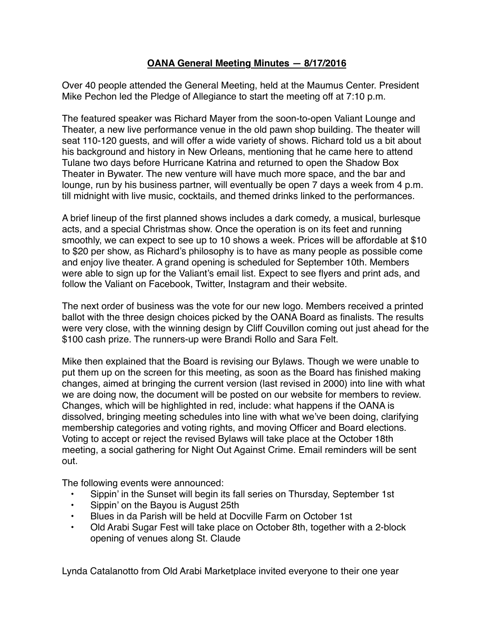## **OANA General Meeting Minutes — 8/17/2016**

Over 40 people attended the General Meeting, held at the Maumus Center. President Mike Pechon led the Pledge of Allegiance to start the meeting off at 7:10 p.m.

The featured speaker was Richard Mayer from the soon-to-open Valiant Lounge and Theater, a new live performance venue in the old pawn shop building. The theater will seat 110-120 guests, and will offer a wide variety of shows. Richard told us a bit about his background and history in New Orleans, mentioning that he came here to attend Tulane two days before Hurricane Katrina and returned to open the Shadow Box Theater in Bywater. The new venture will have much more space, and the bar and lounge, run by his business partner, will eventually be open 7 days a week from 4 p.m. till midnight with live music, cocktails, and themed drinks linked to the performances.

A brief lineup of the first planned shows includes a dark comedy, a musical, burlesque acts, and a special Christmas show. Once the operation is on its feet and running smoothly, we can expect to see up to 10 shows a week. Prices will be affordable at \$10 to \$20 per show, as Richard's philosophy is to have as many people as possible come and enjoy live theater. A grand opening is scheduled for September 10th. Members were able to sign up for the Valiant's email list. Expect to see flyers and print ads, and follow the Valiant on Facebook, Twitter, Instagram and their website.

The next order of business was the vote for our new logo. Members received a printed ballot with the three design choices picked by the OANA Board as finalists. The results were very close, with the winning design by Cliff Couvillon coming out just ahead for the \$100 cash prize. The runners-up were Brandi Rollo and Sara Felt.

Mike then explained that the Board is revising our Bylaws. Though we were unable to put them up on the screen for this meeting, as soon as the Board has finished making changes, aimed at bringing the current version (last revised in 2000) into line with what we are doing now, the document will be posted on our website for members to review. Changes, which will be highlighted in red, include: what happens if the OANA is dissolved, bringing meeting schedules into line with what we've been doing, clarifying membership categories and voting rights, and moving Officer and Board elections. Voting to accept or reject the revised Bylaws will take place at the October 18th meeting, a social gathering for Night Out Against Crime. Email reminders will be sent out.

The following events were announced:

- Sippin' in the Sunset will begin its fall series on Thursday, September 1st
- Sippin' on the Bayou is August 25th
- Blues in da Parish will be held at Docville Farm on October 1st
- Old Arabi Sugar Fest will take place on October 8th, together with a 2-block opening of venues along St. Claude

Lynda Catalanotto from Old Arabi Marketplace invited everyone to their one year